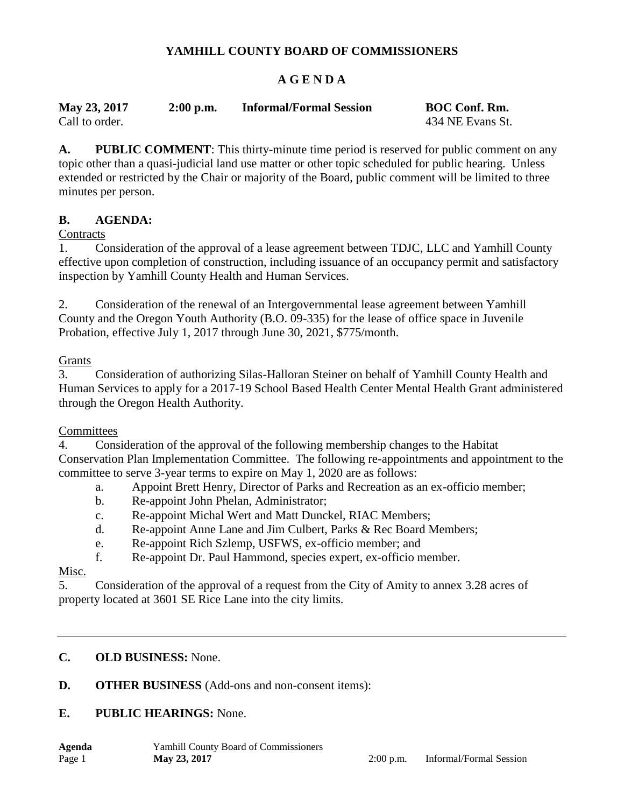# **YAMHILL COUNTY BOARD OF COMMISSIONERS**

# **A G E N D A**

| May 23, 2017   | $2:00$ p.m. | <b>Informal/Formal Session</b> | <b>BOC Conf. Rm.</b> |
|----------------|-------------|--------------------------------|----------------------|
| Call to order. |             |                                | 434 NE Evans St.     |

**A. PUBLIC COMMENT**: This thirty-minute time period is reserved for public comment on any topic other than a quasi-judicial land use matter or other topic scheduled for public hearing. Unless extended or restricted by the Chair or majority of the Board, public comment will be limited to three minutes per person.

#### **B. AGENDA:**

#### **Contracts**

1. Consideration of the approval of a lease agreement between TDJC, LLC and Yamhill County effective upon completion of construction, including issuance of an occupancy permit and satisfactory inspection by Yamhill County Health and Human Services.

2. Consideration of the renewal of an Intergovernmental lease agreement between Yamhill County and the Oregon Youth Authority (B.O. 09-335) for the lease of office space in Juvenile Probation, effective July 1, 2017 through June 30, 2021, \$775/month.

#### Grants

3. Consideration of authorizing Silas-Halloran Steiner on behalf of Yamhill County Health and Human Services to apply for a 2017-19 School Based Health Center Mental Health Grant administered through the Oregon Health Authority.

#### **Committees**

4. Consideration of the approval of the following membership changes to the Habitat Conservation Plan Implementation Committee. The following re-appointments and appointment to the committee to serve 3-year terms to expire on May 1, 2020 are as follows:

- a. Appoint Brett Henry, Director of Parks and Recreation as an ex-officio member;
- b. Re-appoint John Phelan, Administrator;
- c. Re-appoint Michal Wert and Matt Dunckel, RIAC Members;
- d. Re-appoint Anne Lane and Jim Culbert, Parks & Rec Board Members;
- e. Re-appoint Rich Szlemp, USFWS, ex-officio member; and
- f. Re-appoint Dr. Paul Hammond, species expert, ex-officio member.

# Misc.

5. Consideration of the approval of a request from the City of Amity to annex 3.28 acres of property located at 3601 SE Rice Lane into the city limits.

# **C. OLD BUSINESS:** None.

#### **D. OTHER BUSINESS** (Add-ons and non-consent items):

#### **E. PUBLIC HEARINGS:** None.